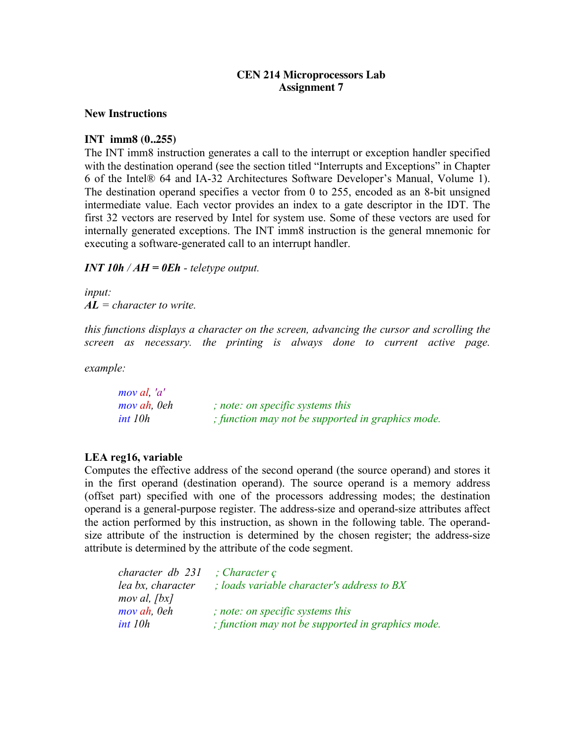### **CEN 214 Microprocessors Lab Assignment 7**

#### **New Instructions**

# **INT imm8 (0..255)**

The INT imm8 instruction generates a call to the interrupt or exception handler specified with the destination operand (see the section titled "Interrupts and Exceptions" in Chapter 6 of the Intel® 64 and IA-32 Architectures Software Developer's Manual, Volume 1). The destination operand specifies a vector from 0 to 255, encoded as an 8-bit unsigned intermediate value. Each vector provides an index to a gate descriptor in the IDT. The first 32 vectors are reserved by Intel for system use. Some of these vectors are used for internally generated exceptions. The INT imm8 instruction is the general mnemonic for executing a software-generated call to an interrupt handler.

#### *<i>INT 10h* /  $AH = 0Eh - telet$  *reletype output.*

*input: AL = character to write.* 

*this functions displays a character on the screen, advancing the cursor and scrolling the screen as necessary, the printing is always done to current active page.* 

*example:* 

| mov al, 'a' |                                                   |
|-------------|---------------------------------------------------|
| mov ah, 0eh | ; note: on specific systems this                  |
| int 10h     | ; function may not be supported in graphics mode. |

# **LEA reg16, variable**

Computes the effective address of the second operand (the source operand) and stores it in the first operand (destination operand). The source operand is a memory address (offset part) specified with one of the processors addressing modes; the destination operand is a general-purpose register. The address-size and operand-size attributes affect the action performed by this instruction, as shown in the following table. The operandsize attribute of the instruction is determined by the chosen register; the address-size attribute is determined by the attribute of the code segment.

| character db 231  | $\therefore$ Character $\varphi$                  |
|-------------------|---------------------------------------------------|
| lea bx, character | ; loads variable character's address to BX        |
| $mov$ al, $fbx$   |                                                   |
| mov ah, 0eh       | ; note: on specific systems this                  |
| int 10h           | ; function may not be supported in graphics mode. |